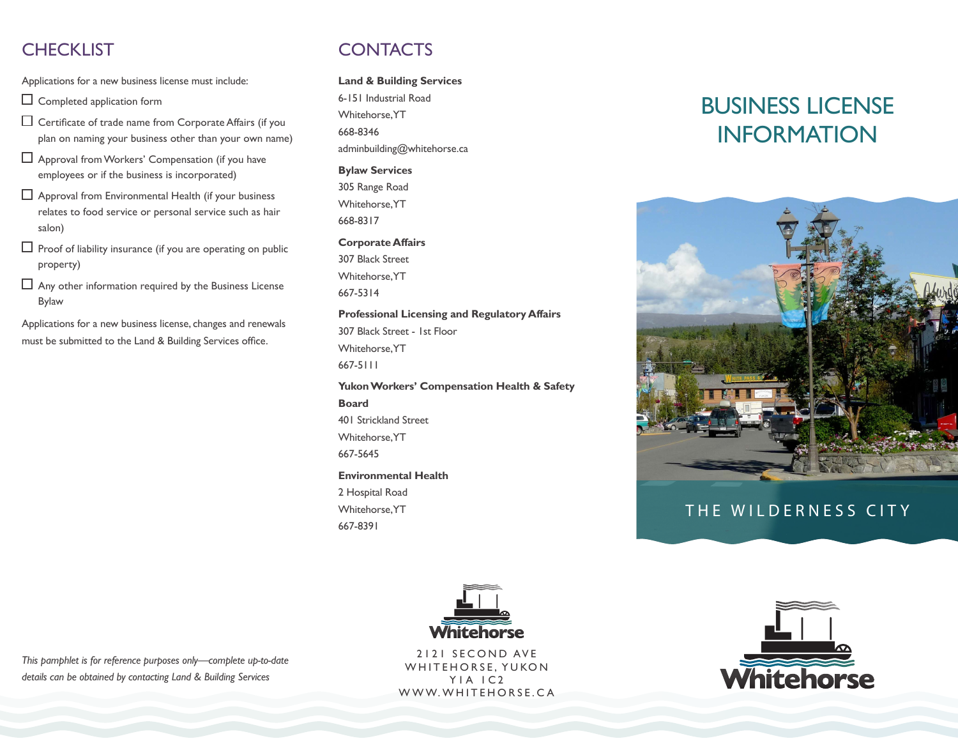# **CHECKLIST**

Applications for a new business license must include:

 $\Box$  Completed application form

- $\Box$  Certificate of trade name from Corporate Affairs (if you plan on naming your business other than your own name)
- Approval fromWorkers' Compensation (if you have employees or if the business is incorporated)
- $\Box$  Approval from Environmental Health (if your business relates to food service or personal service such as hair salon)
- $\Box$  Proof of liability insurance (if you are operating on public property)
- $\Box$  Any other information required by the Business License Bylaw

Applications for a new business license, changes and renewals must be submitted to the Land & Building Services office.

# **CONTACTS**

**Land & Building Services**

6-151 Industrial Road Whitehorse, YT 668-8346 adminbuilding@whitehorse.ca

**Bylaw Services** 305 Range Road Whitehorse, YT 668-8317

#### **Corporate Affairs**

307 Black Street Whitehorse, YT 667-5314

#### **Professional Licensing and Regulatory Affairs**

307 Black Street - 1st Floor Whitehorse, YT 667-5111

**Yukon Workers' Compensation Health & Safety Board** 401 Strickland Street

Whitehorse, YT 667-5645

**Environmental Health**

2 Hospital Road Whitehorse, YT 667-8391





# THE WILDERNESS CITY



2121 SECOND AVE WHITEHORSE, YUKON Y1A 1C2 WWW.WHITEHORSE.CA



*This pamphlet is for reference purposes only—complete up-to-date details can be obtained by contacting Land & Building Services*